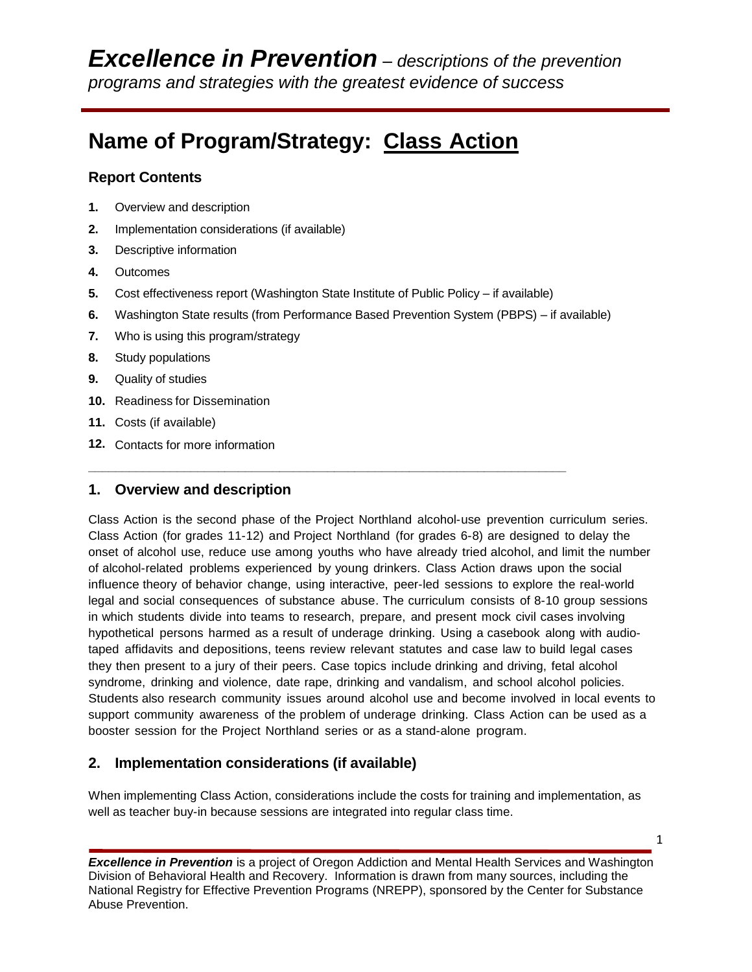# **Name of Program/Strategy: Class Action**

## **Report Contents**

- **1.** Overview and description
- **2.** Implementation considerations (if available)
- **3.** Descriptive information
- **4.** Outcomes
- **5.** Cost effectiveness report (Washington State Institute of Public Policy if available)

**\_\_\_\_\_\_\_\_\_\_\_\_\_\_\_\_\_\_\_\_\_\_\_\_\_\_\_\_\_\_\_\_\_\_\_\_\_\_\_\_\_\_\_\_\_\_\_\_\_\_\_\_\_\_\_\_\_\_\_\_\_\_\_\_\_\_\_\_\_\_**

- **6.** Washington State results (from Performance Based Prevention System (PBPS) if available)
- **7.** Who is using this program/strategy
- **8.** Study populations
- **9.** Quality of studies
- **10.** Readiness for Dissemination
- **11.** Costs (if available)
- **12.** Contacts for more information

## **1. Overview and description**

Class Action is the second phase of the Project Northland alcohol-use prevention curriculum series. Class Action (for grades 11-12) and Project Northland (for grades 6-8) are designed to delay the onset of alcohol use, reduce use among youths who have already tried alcohol, and limit the number of alcohol-related problems experienced by young drinkers. Class Action draws upon the social influence theory of behavior change, using interactive, peer-led sessions to explore the real-world legal and social consequences of substance abuse. The curriculum consists of 8-10 group sessions in which students divide into teams to research, prepare, and present mock civil cases involving hypothetical persons harmed as a result of underage drinking. Using a casebook along with audiotaped affidavits and depositions, teens review relevant statutes and case law to build legal cases they then present to a jury of their peers. Case topics include drinking and driving, fetal alcohol syndrome, drinking and violence, date rape, drinking and vandalism, and school alcohol policies. Students also research community issues around alcohol use and become involved in local events to support community awareness of the problem of underage drinking. Class Action can be used as a booster session for the Project Northland series or as a stand-alone program.

## **2. Implementation considerations (if available)**

When implementing Class Action, considerations include the costs for training and implementation, as well as teacher buy-in because sessions are integrated into regular class time.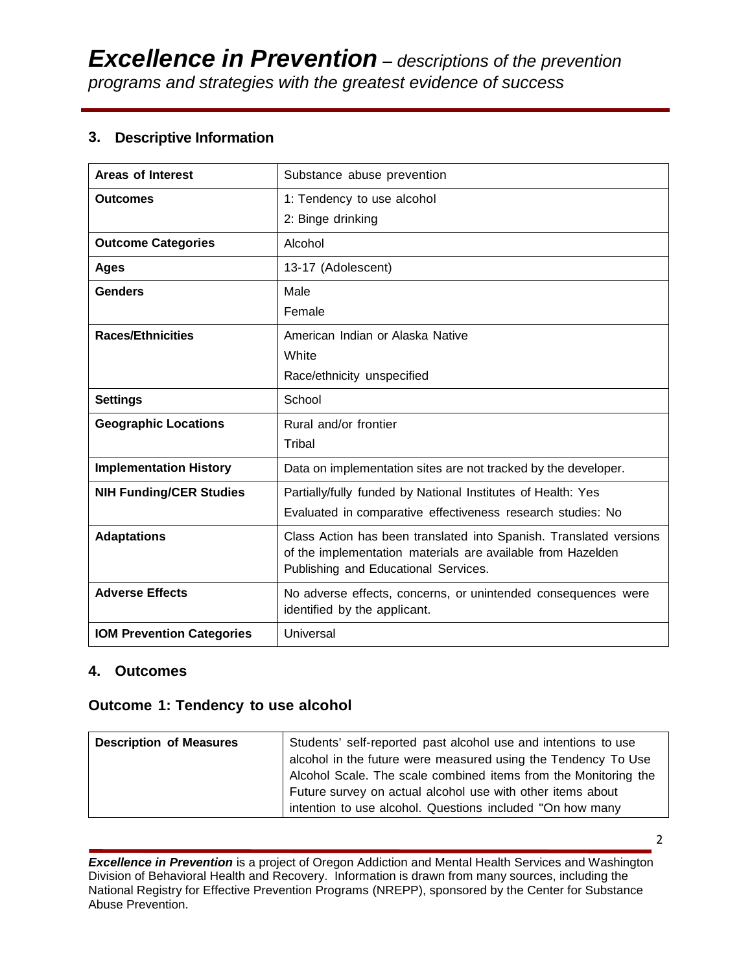## **3. Descriptive Information**

| <b>Areas of Interest</b>         | Substance abuse prevention                                                                                                                                                |  |  |
|----------------------------------|---------------------------------------------------------------------------------------------------------------------------------------------------------------------------|--|--|
| <b>Outcomes</b>                  | 1: Tendency to use alcohol                                                                                                                                                |  |  |
|                                  | 2: Binge drinking                                                                                                                                                         |  |  |
| <b>Outcome Categories</b>        | Alcohol                                                                                                                                                                   |  |  |
| <b>Ages</b>                      | 13-17 (Adolescent)                                                                                                                                                        |  |  |
| <b>Genders</b>                   | Male                                                                                                                                                                      |  |  |
|                                  | Female                                                                                                                                                                    |  |  |
| <b>Races/Ethnicities</b>         | American Indian or Alaska Native                                                                                                                                          |  |  |
|                                  | White                                                                                                                                                                     |  |  |
|                                  | Race/ethnicity unspecified                                                                                                                                                |  |  |
| <b>Settings</b>                  | School                                                                                                                                                                    |  |  |
| <b>Geographic Locations</b>      | Rural and/or frontier                                                                                                                                                     |  |  |
|                                  | Tribal                                                                                                                                                                    |  |  |
| <b>Implementation History</b>    | Data on implementation sites are not tracked by the developer.                                                                                                            |  |  |
| <b>NIH Funding/CER Studies</b>   | Partially/fully funded by National Institutes of Health: Yes                                                                                                              |  |  |
|                                  | Evaluated in comparative effectiveness research studies: No                                                                                                               |  |  |
| <b>Adaptations</b>               | Class Action has been translated into Spanish. Translated versions<br>of the implementation materials are available from Hazelden<br>Publishing and Educational Services. |  |  |
| <b>Adverse Effects</b>           | No adverse effects, concerns, or unintended consequences were<br>identified by the applicant.                                                                             |  |  |
| <b>IOM Prevention Categories</b> | Universal                                                                                                                                                                 |  |  |

## **4. Outcomes**

## **Outcome 1: Tendency to use alcohol**

| <b>Description of Measures</b> | Students' self-reported past alcohol use and intentions to use  |  |  |  |
|--------------------------------|-----------------------------------------------------------------|--|--|--|
|                                | alcohol in the future were measured using the Tendency To Use   |  |  |  |
|                                | Alcohol Scale. The scale combined items from the Monitoring the |  |  |  |
|                                | Future survey on actual alcohol use with other items about      |  |  |  |
|                                | intention to use alcohol. Questions included "On how many       |  |  |  |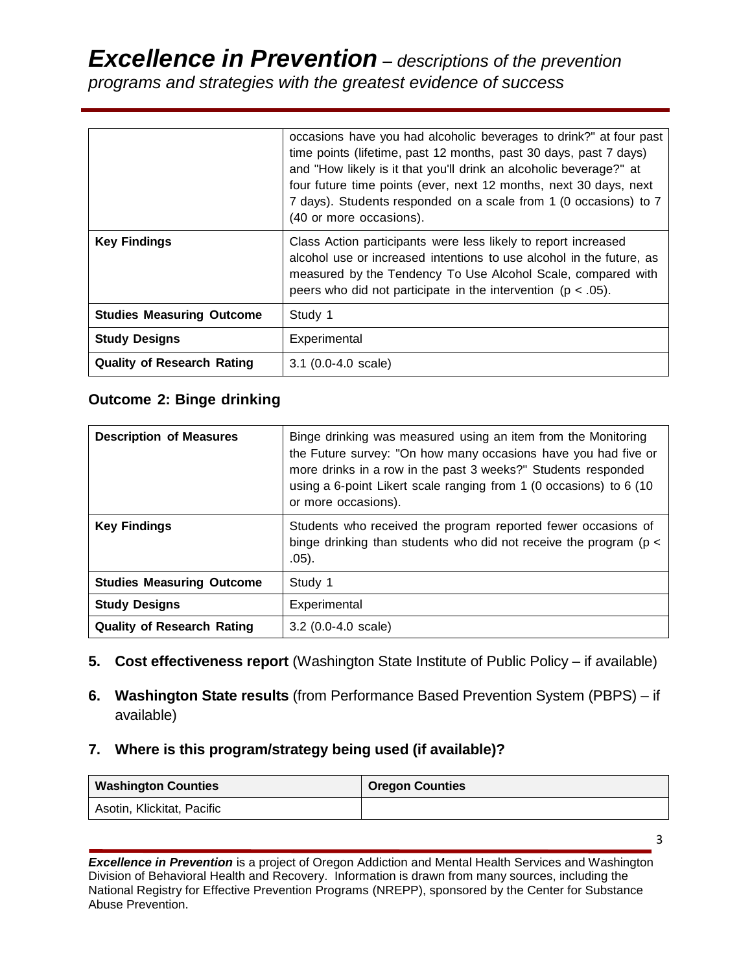## *Excellence in Prevention – descriptions of the prevention programs and strategies with the greatest evidence of success*

|                                   | occasions have you had alcoholic beverages to drink?" at four past<br>time points (lifetime, past 12 months, past 30 days, past 7 days)<br>and "How likely is it that you'll drink an alcoholic beverage?" at<br>four future time points (ever, next 12 months, next 30 days, next<br>7 days). Students responded on a scale from 1 (0 occasions) to 7<br>(40 or more occasions). |
|-----------------------------------|-----------------------------------------------------------------------------------------------------------------------------------------------------------------------------------------------------------------------------------------------------------------------------------------------------------------------------------------------------------------------------------|
| <b>Key Findings</b>               | Class Action participants were less likely to report increased<br>alcohol use or increased intentions to use alcohol in the future, as<br>measured by the Tendency To Use Alcohol Scale, compared with<br>peers who did not participate in the intervention ( $p < .05$ ).                                                                                                        |
| <b>Studies Measuring Outcome</b>  | Study 1                                                                                                                                                                                                                                                                                                                                                                           |
| <b>Study Designs</b>              | Experimental                                                                                                                                                                                                                                                                                                                                                                      |
| <b>Quality of Research Rating</b> | $3.1$ (0.0-4.0 scale)                                                                                                                                                                                                                                                                                                                                                             |

## **Outcome 2: Binge drinking**

| <b>Description of Measures</b>    | Binge drinking was measured using an item from the Monitoring<br>the Future survey: "On how many occasions have you had five or<br>more drinks in a row in the past 3 weeks?" Students responded<br>using a 6-point Likert scale ranging from 1 (0 occasions) to 6 (10<br>or more occasions). |
|-----------------------------------|-----------------------------------------------------------------------------------------------------------------------------------------------------------------------------------------------------------------------------------------------------------------------------------------------|
| <b>Key Findings</b>               | Students who received the program reported fewer occasions of<br>binge drinking than students who did not receive the program ( $p <$<br>$.05$ ).                                                                                                                                             |
| <b>Studies Measuring Outcome</b>  | Study 1                                                                                                                                                                                                                                                                                       |
| <b>Study Designs</b>              | Experimental                                                                                                                                                                                                                                                                                  |
| <b>Quality of Research Rating</b> | $3.2$ (0.0-4.0 scale)                                                                                                                                                                                                                                                                         |

- **5. Cost effectiveness report** (Washington State Institute of Public Policy if available)
- **6. Washington State results** (from Performance Based Prevention System (PBPS) if available)

## **7. Where is this program/strategy being used (if available)?**

| <b>Washington Counties</b> | <b>Oregon Counties</b> |
|----------------------------|------------------------|
| Asotin, Klickitat, Pacific |                        |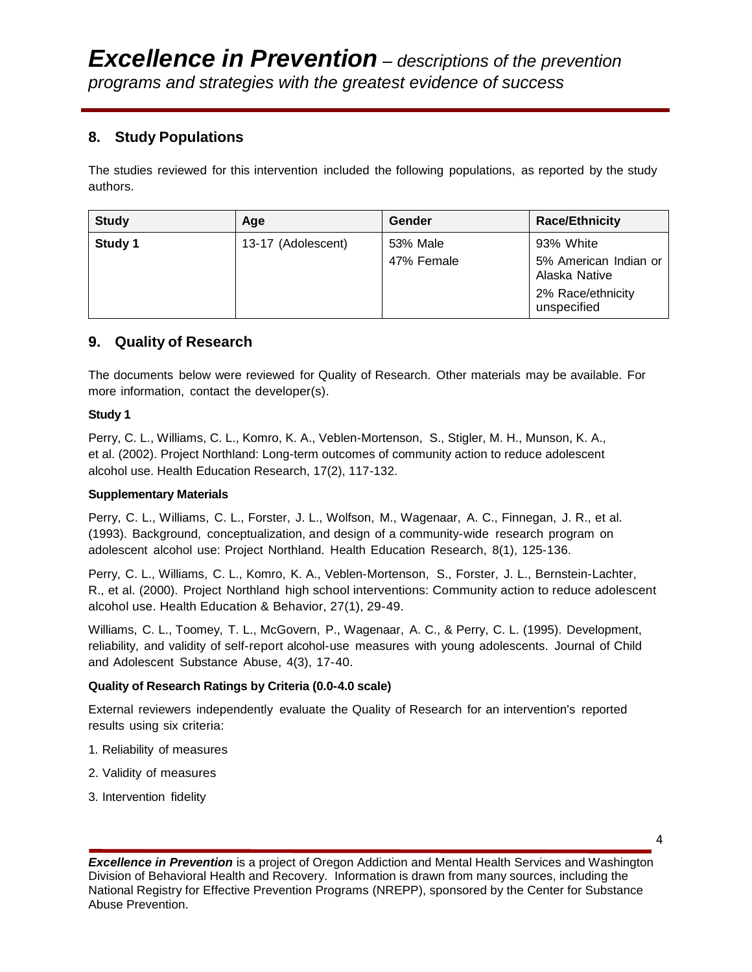## **8. Study Populations**

The studies reviewed for this intervention included the following populations, as reported by the study authors.

| <b>Study</b> | Age                | Gender     | <b>Race/Ethnicity</b>                                                      |
|--------------|--------------------|------------|----------------------------------------------------------------------------|
| Study 1      | 13-17 (Adolescent) | 53% Male   | 93% White                                                                  |
|              |                    | 47% Female | 5% American Indian or<br>Alaska Native<br>2% Race/ethnicity<br>unspecified |

## **9. Quality of Research**

The documents below were reviewed for Quality of Research. Other materials may be available. For more information, contact the developer(s).

#### **Study 1**

Perry, C. L., Williams, C. L., Komro, K. A., Veblen-Mortenson, S., Stigler, M. H., Munson, K. A., et al. (2002). Project Northland: Long-term outcomes of community action to reduce adolescent alcohol use. Health Education Research, 17(2), 117-132.

#### **Supplementary Materials**

Perry, C. L., Williams, C. L., Forster, J. L., Wolfson, M., Wagenaar, A. C., Finnegan, J. R., et al. (1993). Background, conceptualization, and design of a community-wide research program on adolescent alcohol use: Project Northland. Health Education Research, 8(1), 125-136.

Perry, C. L., Williams, C. L., Komro, K. A., Veblen-Mortenson, S., Forster, J. L., Bernstein-Lachter, R., et al. (2000). Project Northland high school interventions: Community action to reduce adolescent alcohol use. Health Education & Behavior, 27(1), 29-49.

Williams, C. L., Toomey, T. L., McGovern, P., Wagenaar, A. C., & Perry, C. L. (1995). Development, reliability, and validity of self-report alcohol-use measures with young adolescents. Journal of Child and Adolescent Substance Abuse, 4(3), 17-40.

#### **Quality of Research Ratings by Criteria (0.0-4.0 scale)**

External reviewers independently evaluate the Quality of Research for an intervention's reported results using six criteria:

- 1. Reliability of measures
- 2. Validity of measures
- 3. Intervention fidelity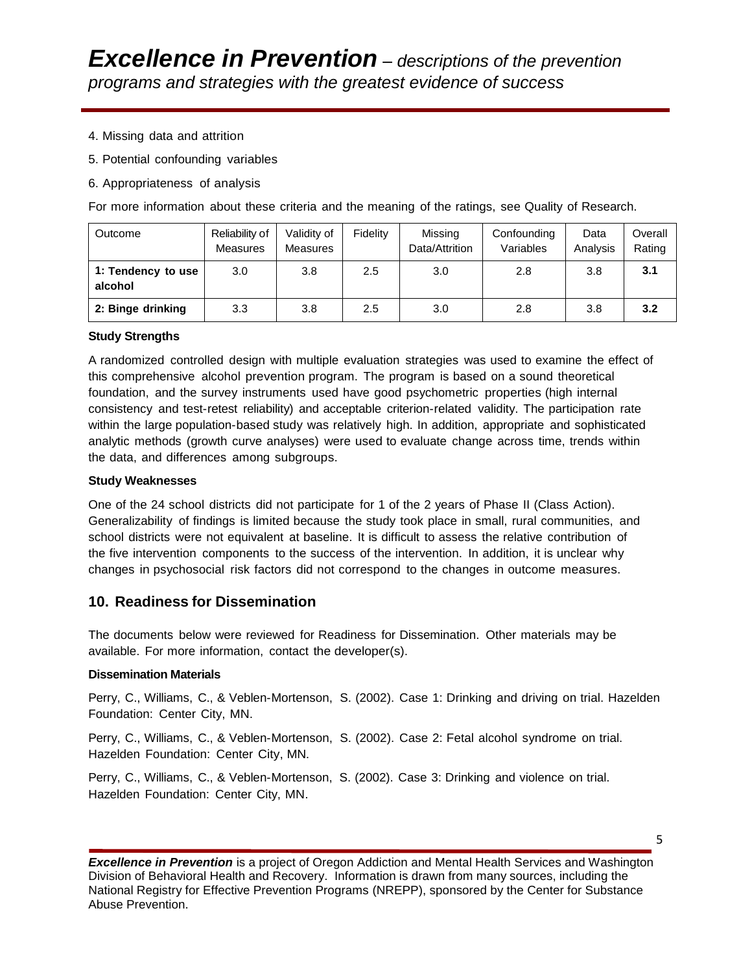- 4. Missing data and attrition
- 5. Potential confounding variables
- 6. Appropriateness of analysis

For more information about these criteria and the meaning of the ratings, see Quality of Research.

| Outcome                       | Reliability of<br><b>Measures</b> | Validity of<br><b>Measures</b> | Fidelity | Missing<br>Data/Attrition | Confounding<br>Variables | Data<br>Analysis | Overall<br>Rating |
|-------------------------------|-----------------------------------|--------------------------------|----------|---------------------------|--------------------------|------------------|-------------------|
| 1: Tendency to use<br>alcohol | 3.0                               | 3.8                            | 2.5      | 3.0                       | 2.8                      | 3.8              | 3.1               |
| 2: Binge drinking             | 3.3                               | 3.8                            | 2.5      | 3.0                       | 2.8                      | 3.8              | 3.2               |

#### **Study Strengths**

A randomized controlled design with multiple evaluation strategies was used to examine the effect of this comprehensive alcohol prevention program. The program is based on a sound theoretical foundation, and the survey instruments used have good psychometric properties (high internal consistency and test-retest reliability) and acceptable criterion-related validity. The participation rate within the large population-based study was relatively high. In addition, appropriate and sophisticated analytic methods (growth curve analyses) were used to evaluate change across time, trends within the data, and differences among subgroups.

#### **Study Weaknesses**

One of the 24 school districts did not participate for 1 of the 2 years of Phase II (Class Action). Generalizability of findings is limited because the study took place in small, rural communities, and school districts were not equivalent at baseline. It is difficult to assess the relative contribution of the five intervention components to the success of the intervention. In addition, it is unclear why changes in psychosocial risk factors did not correspond to the changes in outcome measures.

#### **10. Readiness for Dissemination**

The documents below were reviewed for Readiness for Dissemination. Other materials may be available. For more information, contact the developer(s).

#### **Dissemination Materials**

Perry, C., Williams, C., & Veblen-Mortenson, S. (2002). Case 1: Drinking and driving on trial. Hazelden Foundation: Center City, MN.

Perry, C., Williams, C., & Veblen-Mortenson, S. (2002). Case 2: Fetal alcohol syndrome on trial. Hazelden Foundation: Center City, MN.

Perry, C., Williams, C., & Veblen-Mortenson, S. (2002). Case 3: Drinking and violence on trial. Hazelden Foundation: Center City, MN.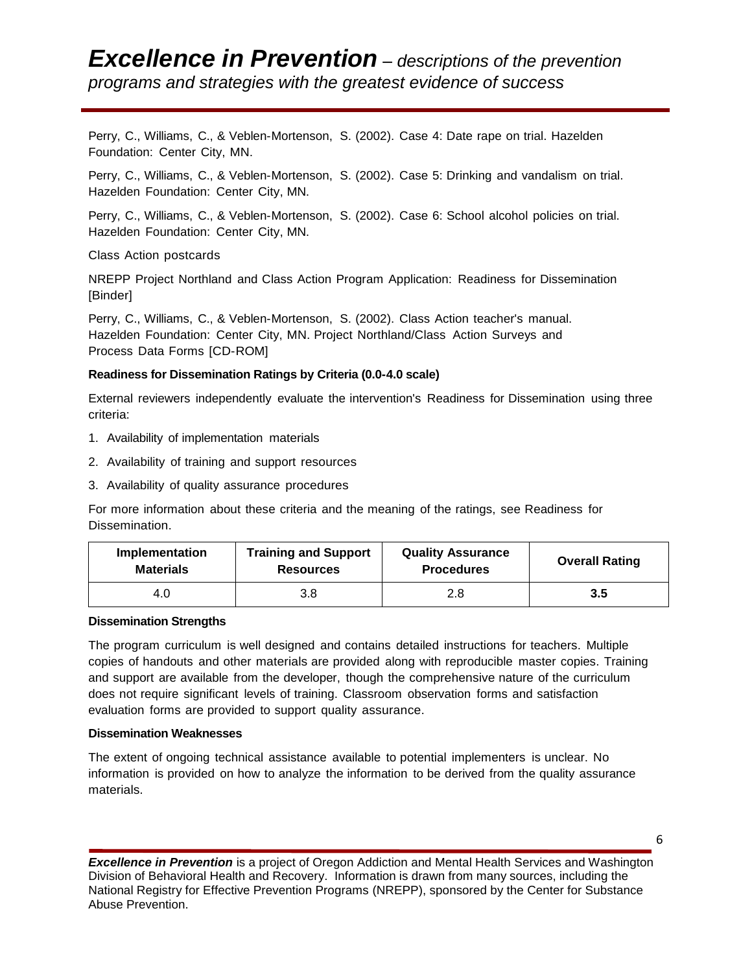## *Excellence in Prevention – descriptions of the prevention programs and strategies with the greatest evidence of success*

Perry, C., Williams, C., & Veblen-Mortenson, S. (2002). Case 4: Date rape on trial. Hazelden Foundation: Center City, MN.

Perry, C., Williams, C., & Veblen-Mortenson, S. (2002). Case 5: Drinking and vandalism on trial. Hazelden Foundation: Center City, MN.

Perry, C., Williams, C., & Veblen-Mortenson, S. (2002). Case 6: School alcohol policies on trial. Hazelden Foundation: Center City, MN.

Class Action postcards

NREPP Project Northland and Class Action Program Application: Readiness for Dissemination [Binder]

Perry, C., Williams, C., & Veblen-Mortenson, S. (2002). Class Action teacher's manual. Hazelden Foundation: Center City, MN. Project Northland/Class Action Surveys and Process Data Forms [CD-ROM]

#### **Readiness for Dissemination Ratings by Criteria (0.0-4.0 scale)**

External reviewers independently evaluate the intervention's Readiness for Dissemination using three criteria:

- 1. Availability of implementation materials
- 2. Availability of training and support resources
- 3. Availability of quality assurance procedures

For more information about these criteria and the meaning of the ratings, see Readiness for Dissemination.

| Implementation   | <b>Training and Support</b> | <b>Quality Assurance</b> | <b>Overall Rating</b> |
|------------------|-----------------------------|--------------------------|-----------------------|
| <b>Materials</b> | <b>Resources</b>            | <b>Procedures</b>        |                       |
| 3.8<br>4.O       |                             | 2.8                      | 3.5                   |

#### **Dissemination Strengths**

The program curriculum is well designed and contains detailed instructions for teachers. Multiple copies of handouts and other materials are provided along with reproducible master copies. Training and support are available from the developer, though the comprehensive nature of the curriculum does not require significant levels of training. Classroom observation forms and satisfaction evaluation forms are provided to support quality assurance.

#### **Dissemination Weaknesses**

The extent of ongoing technical assistance available to potential implementers is unclear. No information is provided on how to analyze the information to be derived from the quality assurance materials.